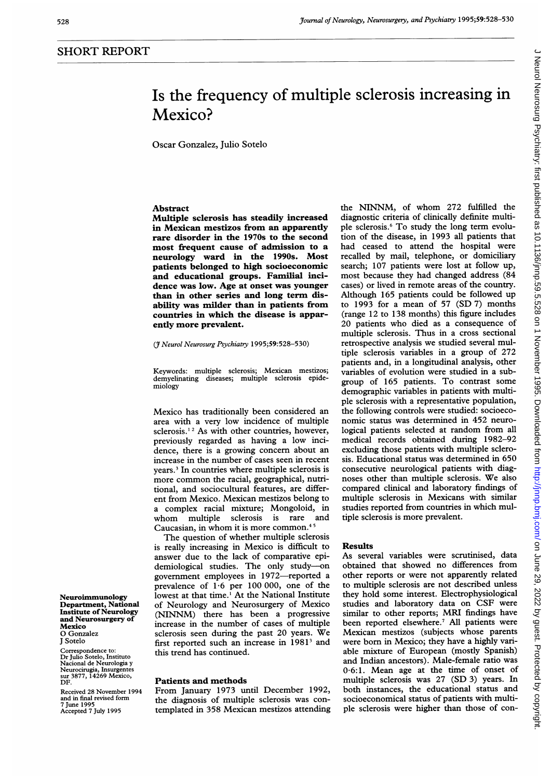# Is the frequency of multiple sclerosis increasing in Mexico?

Oscar Gonzalez, Julio Sotelo

# Abstract

Multiple sclerosis has steadily increased in Mexican mestizos from an apparently rare disorder in the 1970s to the second most frequent cause of admission to a neurology ward in the 1990s. Most patients belonged to high socioeconomic and educational groups. Familial incidence was low. Age at onset was younger than in other series and long term disability was milder than in patients from countries in which the disease is apparently more prevalent.

(3 Neurol Neurosurg Psychiatry 1995;59:528-530)

Keywords: multiple sclerosis; Mexican mestizos; demyelinating diseases; multiple sclerosis epidemiology

Mexico has traditionally been considered an area with a very low incidence of multiple sclerosis.<sup>12</sup> As with other countries, however, previously regarded as having a low incidence, there is a growing concern about an increase in the number of cases seen in recent years.3 In countries where multiple sclerosis is more common the racial, geographical, nutritional, and sociocultural features, are different from Mexico. Mexican mestizos belong to a complex racial mixture; Mongoloid, in whom multiple sclerosis is rare and Caucasian, in whom it is more common.45

The question of whether multiple sclerosis is really increasing in Mexico is difficult to answer due to the lack of comparative epidemiological studies. The only study-on government employees in 1972-reported a prevalence of 1-6 per 100 000, one of the lowest at that time.' At the National Institute of Neurology and Neurosurgery of Mexico (NINNM) there has been <sup>a</sup> progressive increase in the number of cases of multiple sclerosis seen during the past <sup>20</sup> years. We first reported such an increase in 1981<sup>3</sup> and this trend has continued.

#### Patients and methods

From January 1973 until December 1992, the diagnosis of multiple sclerosis was contemplated in 358 Mexican mestizos attending the NINNM, of whom 272 fulfilled the diagnostic criteria of clinically definite multiple sclerosis.6 To study the long term evolution of the disease, in 1993 all patients that had ceased to attend the hospital were recalled by mail, telephone, or domiciliary search; 107 patients were lost at follow up, most because they had changed address (84 cases) or lived in remote areas of the country. Although 165 patients could be followed up to 1993 for <sup>a</sup> mean of 57 (SD 7) months (range 12 to 138 months) this figure includes 20 patients who died as <sup>a</sup> consequence of multiple sclerosis. Thus in a cross sectional retrospective analysis we studied several multiple sclerosis variables in a group of 272 patients and, in a longitudinal analysis, other variables of evolution were studied in a subgroup of 165 patients. To contrast some demographic variables in patients with multiple sclerosis with a representative population, the following controls were studied: socioeconomic status was determined in 452 neurological patients selected at random from all medical records obtained during 1982-92 excluding those patients with multiple sclerosis. Educational status was determined in 650 consecutive neurological patients with diagnoses other than multiple sclerosis. We also compared clinical and laboratory findings of multiple sclerosis in Mexicans with similar studies reported from countries in which multiple sclerosis is more prevalent.

### Results

As several variables were scrutinised, data obtained that showed no differences from other reports or were not apparently related to multiple sclerosis are not described unless they hold some interest. Electrophysiological studies and laboratory data on CSF were similar to other reports; MRI findings have been reported elsewhere.<sup>7</sup> All patients were Mexican mestizos (subjects whose parents were born in Mexico; they have a highly variable mixture of European (mostly Spanish) and Indian ancestors). Male-female ratio was 0-6:1. Mean age at the time of onset of multiple sclerosis was 27 (SD 3) years. In both instances, the educational status and socioeconomical status of patients with multiple sclerosis were higher than those of con-

Neuroimmunology Department, National Institute of Neurology and Neurosurgery of Mexico 0 Gonzalez J Sotelo

Correspondence to: Dr Julio Sotelo, Instituto Nacional de Neurologia y Neurocirugia, Insurgentes sur 3877, 14269 Mexico, DF.

Received 28 November 1994 and in final revised form 7 June 1995 Accepted 7 July 1995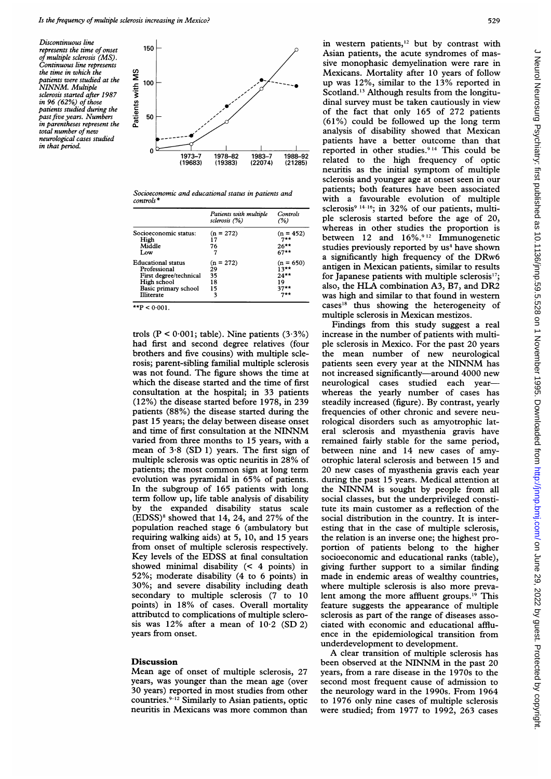Discontinuous line represents the time of onset of multiple sclerosis (MS). Continuous line represents the time in which the patients were studied at the NINNM. Multiple sclerosis started after 1987 in 96 (62%) of those patients studied during the past five years. Numbers in parentheses represent the total number of new neurological cases studied in that period.



Socioeconomic and educational status in patients and  $controls$ 

|                           | Patients with multiple<br>sclerosis (%) | Controls<br>(%) |
|---------------------------|-----------------------------------------|-----------------|
| Socioeconomic status:     | $(n = 272)$                             | $(n = 452)$     |
| High                      | 17                                      | $7**$           |
| Middle                    | 76                                      | $26***$         |
| Low                       |                                         | $67**$          |
| <b>Educational status</b> | $(n = 272)$                             | $(n = 650)$     |
| Professional              | 29                                      | $13***$         |
| First degree/technical    | 35                                      | $24**$          |
| High school               | 18                                      | 19              |
| Basic primary school      | 15                                      | $37**$          |
| <b>Illiterate</b>         | 3                                       | ワネネ             |

 $*$ **P** < 0.001

trols ( $P < 0.001$ ; table). Nine patients (3.3%) had first and second degree relatives (four brothers and five cousins) with multiple sclerosis; parent-sibling familial multiple sclerosis was not found. The figure shows the time at which the disease started and the time of first consultation at the hospital; in 33 patients (12%) the disease started before 1978, in 239 patients (88%) the disease started during the past 15 years; the delay between disease onset and time of first consultation at the NINNM varied from three months to 15 years, with a mean of 3.8 (SD 1) years. The first sign of multiple sclerosis was optic neuritis in 28% of patients; the most common sign at long term evolution was pyramidal in 65% of patients. In the subgroup of 165 patients with long term follow up, life table analysis of disability by the expanded disability status scale (EDSS)<sup>8</sup> showed that 14, 24, and 27% of the population reached stage 6 (ambulatory but requiring walking aids) at 5, 10, and 15 years from onset of multiple sclerosis respectively. Key levels of the EDSS at final consultation showed minimal disability (< 4 points) in 52%; moderate disability (4 to 6 points) in 30%; and severe disability including death secondary to multiple sclerosis (7 to 10 points) in 18% of cases. Overall mortality attributed to complications of multiple sclerosis was  $12\%$  after a mean of  $10.2$  (SD 2) years from onset.

## Discussion

Mean age of onset of multiple sclerosis, 27 years, was younger than the mean age (over 30 years) reported in most studies from other countries.<sup>9-12</sup> Similarly to Asian patients, optic neuritis in Mex

in western patients,<sup>12</sup> but by contrast with Asian patients, the acute syndromes of massive monophasic demyelination were rare in Mexicans. Mortality after 10 years of follow up was  $12\%$ , similar to the  $13\%$  reported in Scotland.'3 Although results from the longitudinal survey must be taken cautiously in view of the fact that only 165 of 272 patients (61%) could be followed up the long term analysis of disability showed that Mexican patients have a better outcome than that reported in other studies.9 '4 This could be 1973-7 1978-82 1983-7 1988-92 related to the high frequency of optic neuritis as the initial symptom of multiple sclerosis and younger age at onset seen in our patients; both features have been associated with <sup>a</sup> favourable evolution of multiple sclerosis<sup>9 14-16</sup>; in 32% of our patients, multiple sclerosis started before the age of 20, whereas in other studies the proportion is between 12 and  $16\%$ .<sup>912</sup> Immunogenetic studies previously reported by us<sup>4</sup> have shown <sup>a</sup> significantly high frequency of the DRw6 antigen in Mexican patients, similar to results for Japanese patients with multiple sclerosis<sup>17</sup>; also, the HLA combination A3, B7, and DR2 was high and similar to that found in western cases'8 thus showing the heterogeneity of multiple sclerosis in Mexican mestizos.

Findings from this study suggest a real increase in the number of patients with multiple sclerosis in Mexico. For the past 20 years the mean number of new neurological patients seen every year at the NINNM has not increased significantly-around 4000 new neurological cases studied each yearwhereas the yearly number of cases has steadily increased (figure). By contrast, yearly frequencies of other chronic and severe neurological disorders such as amyotrophic lateral sclerosis and myasthenia gravis have remained fairly stable for the same period, between nine and 14 new cases of amyotrophic lateral sclerosis and between 15 and 20 new cases of myasthenia gravis each year during the past 15 years. Medical attention at the NINNM is sought by people from all social classes, but the underprivileged constitute its main customer as a reflection of the social distribution in the country. It is interesting that in the case of multiple sclerosis, the relation is an inverse one; the highest proportion of patients belong to the higher socioeconomic and educational ranks (table), giving further support to a similar finding made in endemic areas of wealthy countries, where multiple sclerosis is also more prevalent among the more affluent groups.<sup>19</sup> This feature suggests the appearance of multiple sclerosis as part of the range of diseases associated with economic and educational affluence in the epidemiological transition from underdevelopment to development.

A clear transition of multiple sclerosis has been observed at the NINNM in the past <sup>20</sup> years, from a rare disease in the 1970s to the second most frequent cause of admission to the neurology ward in the 1990s. From 1964 to 1976 only nine cases of multiple sclerosis were studied; from 1977 to 1992, 263 cases